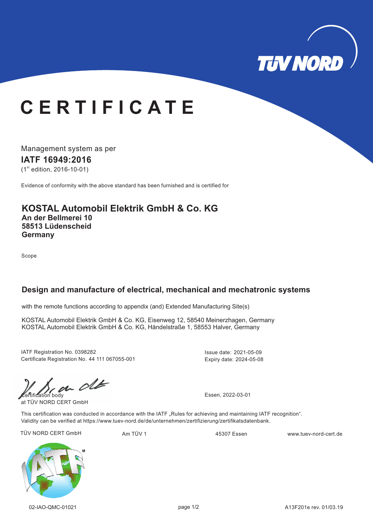

## **C E R T I F I C A T E**

Management system as per

**IATF 16949: 16 20**

 $(1<sup>st</sup>$  edition, 2016-10-01)

Evidence of conformity with the above standard has been furnished and is certified for

#### **KOSTAL Automobil Elektrik GmbH & Co. KG An der Bellmerei 10 58513 Lüdenscheid Germany**

Scope

### **Design and manufacture of electrical, mechanical and mechatronic systems**

with the remote functions according to appendix (and) Extended Manufacturing Site(s)

KOSTAL Automobil Elektrik GmbH & Co. KG, Eisenweg 12, 58540 Meinerzhagen, Germany KOSTAL Automobil Elektrik GmbH & Co. KG, Händelstraße 1, 58553 Halver, Germany

IATF Registration No. 0398282 Certificate Registration No. 44 111 067055-001 Issue date: 2021-05-09 Expiry date: 2024-05-08

 $\omega$  of  $\omega$  Essen, 2022-03-01

at TÜV NORD CERT GmbH

This certification was conducted in accordance with the IATF "Rules for achieving and maintaining IATF recognition". Validity can be verified at https://www.tuev-nord.de/de/unternehmen/zertifizierung/zertifikatsdatenbank.

TÜV NORD CERT GmbH Am TÜV 1 Am TÜV 1 45307 Essen www.tuev-nord-cert.de